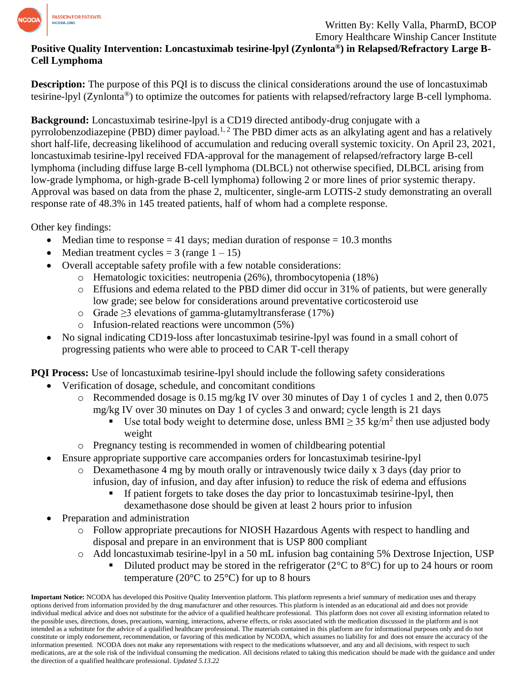

Emory Healthcare Winship Cancer Institute

## **Positive Quality Intervention: Loncastuximab tesirine-lpyl (Zynlonta®) in Relapsed/Refractory Large B-Cell Lymphoma**

**Description:** The purpose of this PQI is to discuss the clinical considerations around the use of loncastuximab tesirine-lpyl (Zynlonta®) to optimize the outcomes for patients with relapsed/refractory large B-cell lymphoma.

**Background:** Loncastuximab tesirine-lpyl is a CD19 directed antibody-drug conjugate with a pyrrolobenzodiazepine (PBD) dimer payload.<sup>1, 2</sup> The PBD dimer acts as an alkylating agent and has a relatively short half-life, decreasing likelihood of accumulation and reducing overall systemic toxicity. On April 23, 2021, loncastuximab tesirine-lpyl received FDA-approval for the management of relapsed/refractory large B-cell lymphoma (including diffuse large B-cell lymphoma (DLBCL) not otherwise specified, DLBCL arising from low-grade lymphoma, or high-grade B-cell lymphoma) following 2 or more lines of prior systemic therapy. Approval was based on data from the phase 2, multicenter, single-arm LOTIS-2 study demonstrating an overall response rate of 48.3% in 145 treated patients, half of whom had a complete response.

Other key findings:

- Median time to response  $= 41$  days; median duration of response  $= 10.3$  months
- Median treatment cycles =  $3$  (range  $1 15$ )
- Overall acceptable safety profile with a few notable considerations:
	- o Hematologic toxicities: neutropenia (26%), thrombocytopenia (18%)
	- $\circ$  Effusions and edema related to the PBD dimer did occur in 31% of patients, but were generally low grade; see below for considerations around preventative corticosteroid use
	- o Grade ≥3 elevations of gamma-glutamyltransferase (17%)
	- o Infusion-related reactions were uncommon (5%)
- No signal indicating CD19-loss after loncastuximab tesirine-lpyl was found in a small cohort of progressing patients who were able to proceed to CAR T-cell therapy

**PQI Process:** Use of loncastuximab tesirine-lpyl should include the following safety considerations

- Verification of dosage, schedule, and concomitant conditions
	- o Recommended dosage is 0.15 mg/kg IV over 30 minutes of Day 1 of cycles 1 and 2, then 0.075 mg/kg IV over 30 minutes on Day 1 of cycles 3 and onward; cycle length is 21 days
		- Use total body weight to determine dose, unless BMI  $\geq$  35 kg/m<sup>2</sup> then use adjusted body weight
	- o Pregnancy testing is recommended in women of childbearing potential
	- Ensure appropriate supportive care accompanies orders for loncastuximab tesirine-lpyl
		- o Dexamethasone 4 mg by mouth orally or intravenously twice daily x 3 days (day prior to infusion, day of infusion, and day after infusion) to reduce the risk of edema and effusions
			- If patient forgets to take doses the day prior to loncastus that is estimated pyl, then dexamethasone dose should be given at least 2 hours prior to infusion
- Preparation and administration
	- o Follow appropriate precautions for NIOSH Hazardous Agents with respect to handling and disposal and prepare in an environment that is USP 800 compliant
	- o Add loncastuximab tesirine-lpyl in a 50 mL infusion bag containing 5% Dextrose Injection, USP Diluted product may be stored in the refrigerator ( $2^{\circ}$ C to  $8^{\circ}$ C) for up to 24 hours or room temperature (20 $\degree$ C to 25 $\degree$ C) for up to 8 hours

**Important Notice:** NCODA has developed this Positive Quality Intervention platform. This platform represents a brief summary of medication uses and therapy options derived from information provided by the drug manufacturer and other resources. This platform is intended as an educational aid and does not provide individual medical advice and does not substitute for the advice of a qualified healthcare professional. This platform does not cover all existing information related to the possible uses, directions, doses, precautions, warning, interactions, adverse effects, or risks associated with the medication discussed in the platform and is not intended as a substitute for the advice of a qualified healthcare professional. The materials contained in this platform are for informational purposes only and do not constitute or imply endorsement, recommendation, or favoring of this medication by NCODA, which assumes no liability for and does not ensure the accuracy of the information presented. NCODA does not make any representations with respect to the medications whatsoever, and any and all decisions, with respect to such medications, are at the sole risk of the individual consuming the medication. All decisions related to taking this medication should be made with the guidance and under the direction of a qualified healthcare professional. *Updated 5.13.22*